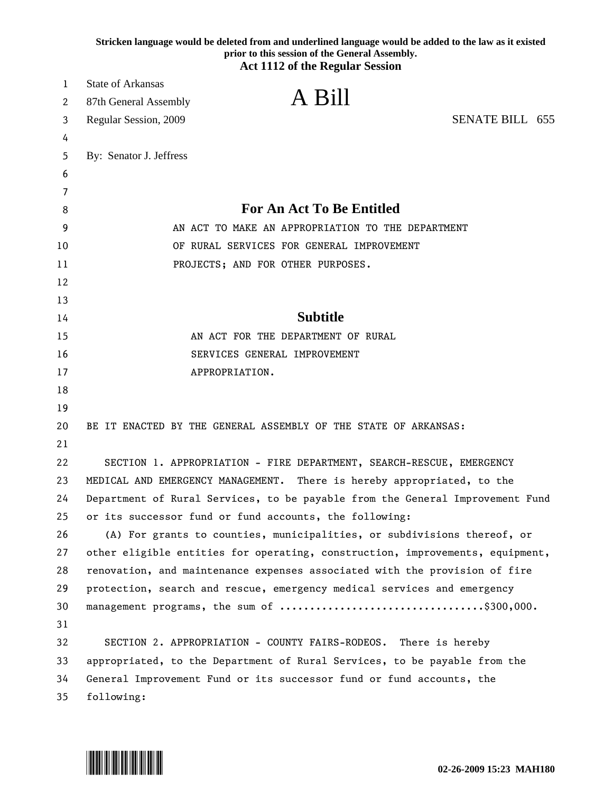|        | Stricken language would be deleted from and underlined language would be added to the law as it existed<br>prior to this session of the General Assembly.<br><b>Act 1112 of the Regular Session</b> |  |
|--------|-----------------------------------------------------------------------------------------------------------------------------------------------------------------------------------------------------|--|
|        | <b>State of Arkansas</b>                                                                                                                                                                            |  |
| 1      | A Bill                                                                                                                                                                                              |  |
| 2      | 87th General Assembly                                                                                                                                                                               |  |
| 3      | <b>SENATE BILL 655</b><br>Regular Session, 2009                                                                                                                                                     |  |
| 4      |                                                                                                                                                                                                     |  |
| 5      | By: Senator J. Jeffress                                                                                                                                                                             |  |
| 6      |                                                                                                                                                                                                     |  |
| 7<br>8 | <b>For An Act To Be Entitled</b>                                                                                                                                                                    |  |
| 9      | AN ACT TO MAKE AN APPROPRIATION TO THE DEPARTMENT                                                                                                                                                   |  |
| 10     | OF RURAL SERVICES FOR GENERAL IMPROVEMENT                                                                                                                                                           |  |
| 11     | PROJECTS; AND FOR OTHER PURPOSES.                                                                                                                                                                   |  |
| 12     |                                                                                                                                                                                                     |  |
| 13     |                                                                                                                                                                                                     |  |
| 14     | <b>Subtitle</b>                                                                                                                                                                                     |  |
| 15     | AN ACT FOR THE DEPARTMENT OF RURAL                                                                                                                                                                  |  |
| 16     | SERVICES GENERAL IMPROVEMENT                                                                                                                                                                        |  |
| 17     | APPROPRIATION.                                                                                                                                                                                      |  |
| 18     |                                                                                                                                                                                                     |  |
| 19     |                                                                                                                                                                                                     |  |
| 20     | BE IT ENACTED BY THE GENERAL ASSEMBLY OF THE STATE OF ARKANSAS:                                                                                                                                     |  |
| 21     |                                                                                                                                                                                                     |  |
| 22     | SECTION 1. APPROPRIATION - FIRE DEPARTMENT, SEARCH-RESCUE, EMERGENCY                                                                                                                                |  |
| 23     | MEDICAL AND EMERGENCY MANAGEMENT.<br>There is hereby appropriated, to the                                                                                                                           |  |
| 24     | Department of Rural Services, to be payable from the General Improvement Fund                                                                                                                       |  |
| 25     | or its successor fund or fund accounts, the following:                                                                                                                                              |  |
| 26     | (A) For grants to counties, municipalities, or subdivisions thereof, or                                                                                                                             |  |
| 27     | other eligible entities for operating, construction, improvements, equipment,                                                                                                                       |  |
| 28     | renovation, and maintenance expenses associated with the provision of fire                                                                                                                          |  |
| 29     | protection, search and rescue, emergency medical services and emergency                                                                                                                             |  |
| 30     | management programs, the sum of \$300,000.                                                                                                                                                          |  |
| 31     |                                                                                                                                                                                                     |  |
| 32     | SECTION 2. APPROPRIATION - COUNTY FAIRS-RODEOS. There is hereby                                                                                                                                     |  |
| 33     | appropriated, to the Department of Rural Services, to be payable from the                                                                                                                           |  |
| 34     | General Improvement Fund or its successor fund or fund accounts, the                                                                                                                                |  |
| 35     | following:                                                                                                                                                                                          |  |

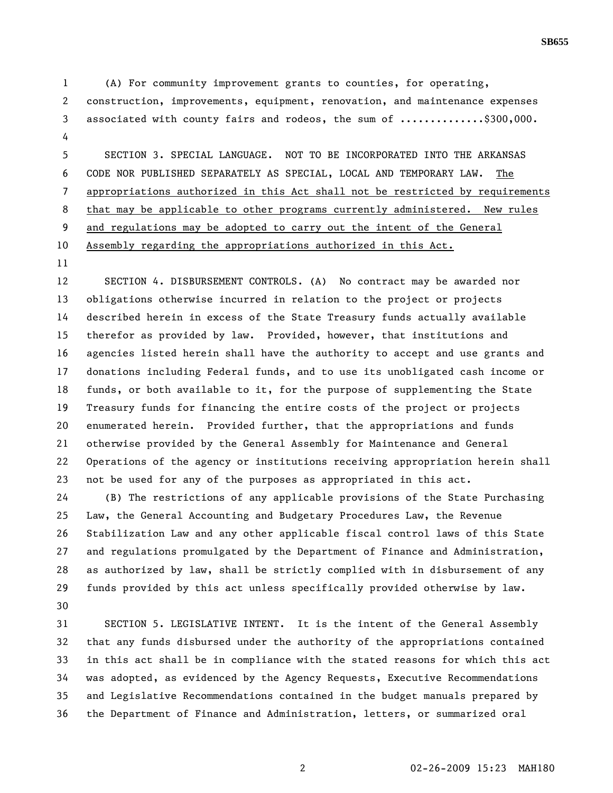1 (A) For community improvement grants to counties, for operating, 2 construction, improvements, equipment, renovation, and maintenance expenses 3 associated with county fairs and rodeos, the sum of ..............\$300,000. 4

5 SECTION 3. SPECIAL LANGUAGE. NOT TO BE INCORPORATED INTO THE ARKANSAS 6 CODE NOR PUBLISHED SEPARATELY AS SPECIAL, LOCAL AND TEMPORARY LAW. The 7 appropriations authorized in this Act shall not be restricted by requirements 8 that may be applicable to other programs currently administered. New rules 9 and regulations may be adopted to carry out the intent of the General 10 Assembly regarding the appropriations authorized in this Act.

11

12 SECTION 4. DISBURSEMENT CONTROLS. (A) No contract may be awarded nor 13 obligations otherwise incurred in relation to the project or projects 14 described herein in excess of the State Treasury funds actually available 15 therefor as provided by law. Provided, however, that institutions and 16 agencies listed herein shall have the authority to accept and use grants and 17 donations including Federal funds, and to use its unobligated cash income or 18 funds, or both available to it, for the purpose of supplementing the State 19 Treasury funds for financing the entire costs of the project or projects 20 enumerated herein. Provided further, that the appropriations and funds 21 otherwise provided by the General Assembly for Maintenance and General 22 Operations of the agency or institutions receiving appropriation herein shall 23 not be used for any of the purposes as appropriated in this act.

24 (B) The restrictions of any applicable provisions of the State Purchasing 25 Law, the General Accounting and Budgetary Procedures Law, the Revenue 26 Stabilization Law and any other applicable fiscal control laws of this State 27 and regulations promulgated by the Department of Finance and Administration, 28 as authorized by law, shall be strictly complied with in disbursement of any 29 funds provided by this act unless specifically provided otherwise by law. 30

31 SECTION 5. LEGISLATIVE INTENT. It is the intent of the General Assembly 32 that any funds disbursed under the authority of the appropriations contained 33 in this act shall be in compliance with the stated reasons for which this act 34 was adopted, as evidenced by the Agency Requests, Executive Recommendations 35 and Legislative Recommendations contained in the budget manuals prepared by 36 the Department of Finance and Administration, letters, or summarized oral

2 02-26-2009 15:23 MAH180